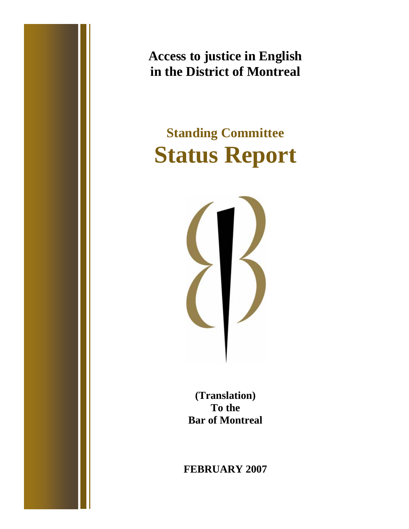**Access to justice in English in the District of Montreal** 

# **Standing Committee Status Report**



**(Translation) To the Bar of Montreal** 

**FEBRUARY 2007**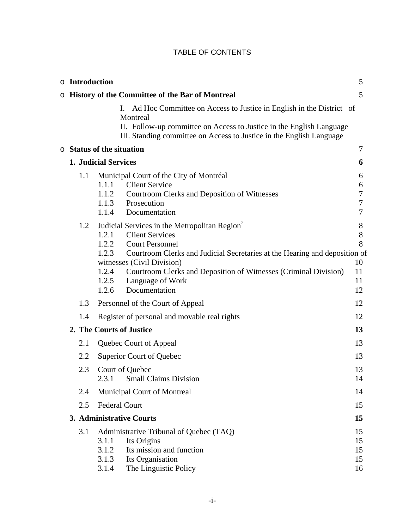# TABLE OF CONTENTS

|  |                          | o Introduction                                     |                                                                                                                                                                                                                                                                                                                                    | 5                                   |  |  |
|--|--------------------------|----------------------------------------------------|------------------------------------------------------------------------------------------------------------------------------------------------------------------------------------------------------------------------------------------------------------------------------------------------------------------------------------|-------------------------------------|--|--|
|  |                          |                                                    | <b>O</b> History of the Committee of the Bar of Montreal                                                                                                                                                                                                                                                                           | 5                                   |  |  |
|  |                          |                                                    | Ι.<br>Ad Hoc Committee on Access to Justice in English in the District of<br>Montreal<br>II. Follow-up committee on Access to Justice in the English Language<br>III. Standing committee on Access to Justice in the English Language                                                                                              |                                     |  |  |
|  |                          |                                                    | <b>Status of the situation</b>                                                                                                                                                                                                                                                                                                     | 7                                   |  |  |
|  |                          | 1. Judicial Services                               |                                                                                                                                                                                                                                                                                                                                    | 6                                   |  |  |
|  | 1.1                      | 1.1.1<br>1.1.2<br>1.1.3<br>1.1.4                   | Municipal Court of the City of Montréal<br><b>Client Service</b><br>Courtroom Clerks and Deposition of Witnesses<br>Prosecution<br>Documentation                                                                                                                                                                                   | 6<br>6<br>7<br>7<br>7               |  |  |
|  | 1.2                      | 1.2.1<br>1.2.2<br>1.2.3<br>1.2.4<br>1.2.5<br>1.2.6 | Judicial Services in the Metropolitan Region <sup>2</sup><br><b>Client Services</b><br><b>Court Personnel</b><br>Courtroom Clerks and Judicial Secretaries at the Hearing and deposition of<br>witnesses (Civil Division)<br>Courtroom Clerks and Deposition of Witnesses (Criminal Division)<br>Language of Work<br>Documentation | 8<br>8<br>8<br>10<br>11<br>11<br>12 |  |  |
|  | 1.3                      | Personnel of the Court of Appeal                   |                                                                                                                                                                                                                                                                                                                                    |                                     |  |  |
|  | 1.4                      | Register of personal and movable real rights       |                                                                                                                                                                                                                                                                                                                                    |                                     |  |  |
|  | 2. The Courts of Justice |                                                    |                                                                                                                                                                                                                                                                                                                                    |                                     |  |  |
|  | 2.1                      |                                                    | Quebec Court of Appeal                                                                                                                                                                                                                                                                                                             | 13                                  |  |  |
|  | 2.2                      |                                                    | Superior Court of Quebec                                                                                                                                                                                                                                                                                                           | 13                                  |  |  |
|  | 2.3                      | 2.3.1                                              | Court of Quebec<br><b>Small Claims Division</b>                                                                                                                                                                                                                                                                                    | 13<br>14                            |  |  |
|  | 2.4                      |                                                    | Municipal Court of Montreal                                                                                                                                                                                                                                                                                                        | 14                                  |  |  |
|  | 2.5                      |                                                    | <b>Federal Court</b>                                                                                                                                                                                                                                                                                                               | 15                                  |  |  |
|  |                          |                                                    | 3. Administrative Courts                                                                                                                                                                                                                                                                                                           | 15                                  |  |  |
|  | 3.1                      | 3.1.1<br>3.1.2<br>3.1.3<br>3.1.4                   | Administrative Tribunal of Quebec (TAQ)<br>Its Origins<br>Its mission and function<br>Its Organisation<br>The Linguistic Policy                                                                                                                                                                                                    | 15<br>15<br>15<br>15<br>16          |  |  |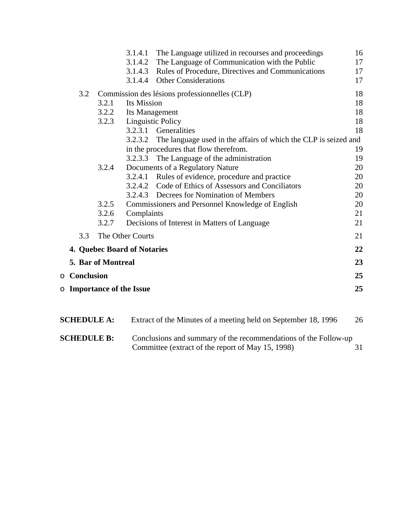|                     |                    | 3.1.4.1                          | The Language utilized in recourses and proceedings              | 16 |
|---------------------|--------------------|----------------------------------|-----------------------------------------------------------------|----|
|                     |                    | 3.1.4.2                          | The Language of Communication with the Public                   | 17 |
|                     |                    | 3.1.4.3                          | Rules of Procedure, Directives and Communications               | 17 |
|                     |                    | 3.1.4.4                          | <b>Other Considerations</b>                                     | 17 |
| 3.2                 |                    |                                  | Commission des lésions professionnelles (CLP)                   | 18 |
|                     | 3.2.1              | Its Mission                      |                                                                 | 18 |
|                     | 3.2.2              | Its Management                   |                                                                 | 18 |
|                     | 3.2.3              |                                  | <b>Linguistic Policy</b>                                        | 18 |
|                     |                    |                                  | 3.2.3.1 Generalities                                            | 18 |
|                     |                    | 3.2.3.2                          | The language used in the affairs of which the CLP is seized and |    |
|                     |                    |                                  | in the procedures that flow therefrom.                          | 19 |
|                     |                    | 3.2.3.3                          | The Language of the administration                              | 19 |
|                     | 3.2.4              |                                  | Documents of a Regulatory Nature                                | 20 |
|                     |                    | 3.2.4.1                          | Rules of evidence, procedure and practice                       | 20 |
|                     |                    | 3.2.4.2                          | Code of Ethics of Assessors and Conciliators                    | 20 |
|                     |                    |                                  | 3.2.4.3 Decrees for Nomination of Members                       | 20 |
|                     | 3.2.5              |                                  | Commissioners and Personnel Knowledge of English                | 20 |
|                     | 3.2.6              | Complaints                       |                                                                 | 21 |
|                     | 3.2.7              |                                  | Decisions of Interest in Matters of Language                    | 21 |
| 3.3                 |                    | The Other Courts                 |                                                                 | 21 |
|                     |                    | 4. Quebec Board of Notaries      |                                                                 | 22 |
|                     | 5. Bar of Montreal |                                  |                                                                 | 23 |
| <b>O</b> Conclusion |                    |                                  |                                                                 | 25 |
|                     |                    | <b>O</b> Importance of the Issue |                                                                 | 25 |
|                     |                    |                                  |                                                                 |    |
|                     |                    |                                  |                                                                 |    |

| <b>SCHEDULE A:</b> | Extract of the Minutes of a meeting held on September 18, 1996                                                       | 26 |
|--------------------|----------------------------------------------------------------------------------------------------------------------|----|
| <b>SCHEDULE B:</b> | Conclusions and summary of the recommendations of the Follow-up<br>Committee (extract of the report of May 15, 1998) | 31 |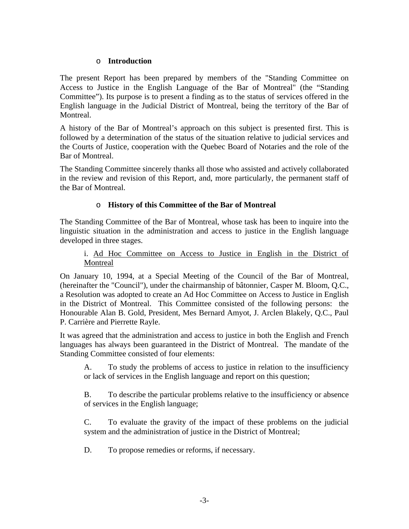#### o **Introduction**

The present Report has been prepared by members of the "Standing Committee on Access to Justice in the English Language of the Bar of Montreal" (the "Standing Committee"). Its purpose is to present a finding as to the status of services offered in the English language in the Judicial District of Montreal, being the territory of the Bar of Montreal.

A history of the Bar of Montreal's approach on this subject is presented first. This is followed by a determination of the status of the situation relative to judicial services and the Courts of Justice, cooperation with the Quebec Board of Notaries and the role of the Bar of Montreal.

The Standing Committee sincerely thanks all those who assisted and actively collaborated in the review and revision of this Report, and, more particularly, the permanent staff of the Bar of Montreal.

# o **History of this Committee of the Bar of Montreal**

The Standing Committee of the Bar of Montreal, whose task has been to inquire into the linguistic situation in the administration and access to justice in the English language developed in three stages.

#### i. Ad Hoc Committee on Access to Justice in English in the District of Montreal

On January 10, 1994, at a Special Meeting of the Council of the Bar of Montreal, (hereinafter the "Council"), under the chairmanship of bâtonnier, Casper M. Bloom, Q.C., a Resolution was adopted to create an Ad Hoc Committee on Access to Justice in English in the District of Montreal. This Committee consisted of the following persons: the Honourable Alan B. Gold, President, Mes Bernard Amyot, J. Arclen Blakely, Q.C., Paul P. Carrière and Pierrette Rayle.

It was agreed that the administration and access to justice in both the English and French languages has always been guaranteed in the District of Montreal. The mandate of the Standing Committee consisted of four elements:

A. To study the problems of access to justice in relation to the insufficiency or lack of services in the English language and report on this question;

B. To describe the particular problems relative to the insufficiency or absence of services in the English language;

C. To evaluate the gravity of the impact of these problems on the judicial system and the administration of justice in the District of Montreal;

D. To propose remedies or reforms, if necessary.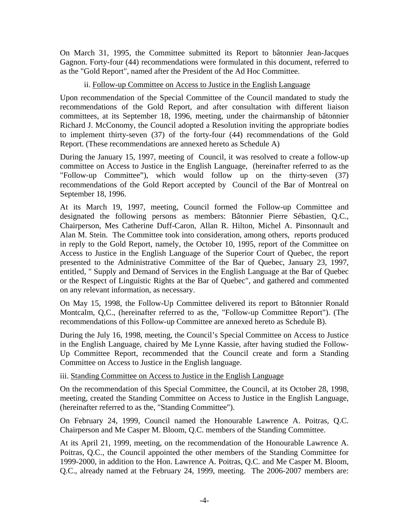On March 31, 1995, the Committee submitted its Report to bâtonnier Jean-Jacques Gagnon. Forty-four (44) recommendations were formulated in this document, referred to as the "Gold Report", named after the President of the Ad Hoc Committee.

#### ii. Follow-up Committee on Access to Justice in the English Language

Upon recommendation of the Special Committee of the Council mandated to study the recommendations of the Gold Report, and after consultation with different liaison committees, at its September 18, 1996, meeting, under the chairmanship of bâtonnier Richard J. McConomy, the Council adopted a Resolution inviting the appropriate bodies to implement thirty-seven (37) of the forty-four (44) recommendations of the Gold Report. (These recommendations are annexed hereto as Schedule A)

During the January 15, 1997, meeting of Council, it was resolved to create a follow-up committee on Access to Justice in the English Language, (hereinafter referred to as the "Follow-up Committee"), which would follow up on the thirty-seven (37) recommendations of the Gold Report accepted by Council of the Bar of Montreal on September 18, 1996.

At its March 19, 1997, meeting, Council formed the Follow-up Committee and designated the following persons as members: Bâtonnier Pierre Sébastien, Q.C., Chairperson, Mes Catherine Duff-Caron, Allan R. Hilton, Michel A. Pinsonnault and Alan M. Stein. The Committee took into consideration, among others, reports produced in reply to the Gold Report, namely, the October 10, 1995, report of the Committee on Access to Justice in the English Language of the Superior Court of Quebec, the report presented to the Administrative Committee of the Bar of Quebec, January 23, 1997, entitled, " Supply and Demand of Services in the English Language at the Bar of Quebec or the Respect of Linguistic Rights at the Bar of Quebec", and gathered and commented on any relevant information, as necessary.

On May 15, 1998, the Follow-Up Committee delivered its report to Bâtonnier Ronald Montcalm, Q,C., (hereinafter referred to as the, "Follow-up Committee Report"). (The recommendations of this Follow-up Committee are annexed hereto as Schedule B).

During the July 16, 1998, meeting, the Council's Special Committee on Access to Justice in the English Language, chaired by Me Lynne Kassie, after having studied the Follow-Up Committee Report, recommended that the Council create and form a Standing Committee on Access to Justice in the English language.

iii. Standing Committee on Access to Justice in the English Language

On the recommendation of this Special Committee, the Council, at its October 28, 1998, meeting, created the Standing Committee on Access to Justice in the English Language, (hereinafter referred to as the, "Standing Committee").

On February 24, 1999, Council named the Honourable Lawrence A. Poitras, Q.C. Chairperson and Me Casper M. Bloom, Q.C. members of the Standing Committee.

At its April 21, 1999, meeting, on the recommendation of the Honourable Lawrence A. Poitras, Q.C., the Council appointed the other members of the Standing Committee for 1999-2000, in addition to the Hon. Lawrence A. Poitras, Q.C. and Me Casper M. Bloom, Q.C., already named at the February 24, 1999, meeting. The 2006-2007 members are: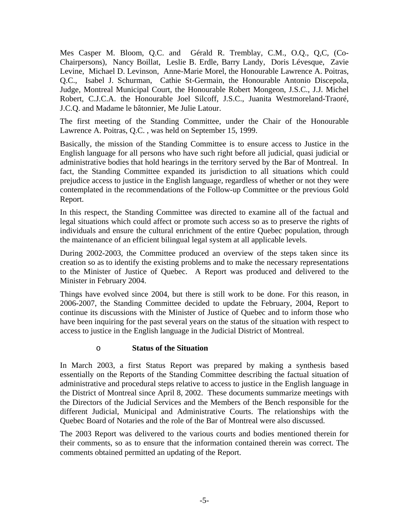Mes Casper M. Bloom, Q.C. and Gérald R. Tremblay, C.M., O.Q., Q,C, (Co-Chairpersons), Nancy Boillat, Leslie B. Erdle, Barry Landy, Doris Lévesque, Zavie Levine, Michael D. Levinson, Anne-Marie Morel, the Honourable Lawrence A. Poitras, Q.C., Isabel J. Schurman, Cathie St-Germain, the Honourable Antonio Discepola, Judge, Montreal Municipal Court, the Honourable Robert Mongeon, J.S.C., J.J. Michel Robert, C.J.C.A. the Honourable Joel Silcoff, J.S.C., Juanita Westmoreland-Traoré, J.C.Q. and Madame le bâtonnier, Me Julie Latour.

The first meeting of the Standing Committee, under the Chair of the Honourable Lawrence A. Poitras, Q.C. , was held on September 15, 1999.

Basically, the mission of the Standing Committee is to ensure access to Justice in the English language for all persons who have such right before all judicial, quasi judicial or administrative bodies that hold hearings in the territory served by the Bar of Montreal. In fact, the Standing Committee expanded its jurisdiction to all situations which could prejudice access to justice in the English language, regardless of whether or not they were contemplated in the recommendations of the Follow-up Committee or the previous Gold Report.

In this respect, the Standing Committee was directed to examine all of the factual and legal situations which could affect or promote such access so as to preserve the rights of individuals and ensure the cultural enrichment of the entire Quebec population, through the maintenance of an efficient bilingual legal system at all applicable levels.

During 2002-2003, the Committee produced an overview of the steps taken since its creation so as to identify the existing problems and to make the necessary representations to the Minister of Justice of Quebec. A Report was produced and delivered to the Minister in February 2004.

Things have evolved since 2004, but there is still work to be done. For this reason, in 2006-2007, the Standing Committee decided to update the February, 2004, Report to continue its discussions with the Minister of Justice of Quebec and to inform those who have been inquiring for the past several years on the status of the situation with respect to access to justice in the English language in the Judicial District of Montreal.

#### o **Status of the Situation**

In March 2003, a first Status Report was prepared by making a synthesis based essentially on the Reports of the Standing Committee describing the factual situation of administrative and procedural steps relative to access to justice in the English language in the District of Montreal since April 8, 2002. These documents summarize meetings with the Directors of the Judicial Services and the Members of the Bench responsible for the different Judicial, Municipal and Administrative Courts. The relationships with the Quebec Board of Notaries and the role of the Bar of Montreal were also discussed.

The 2003 Report was delivered to the various courts and bodies mentioned therein for their comments, so as to ensure that the information contained therein was correct. The comments obtained permitted an updating of the Report.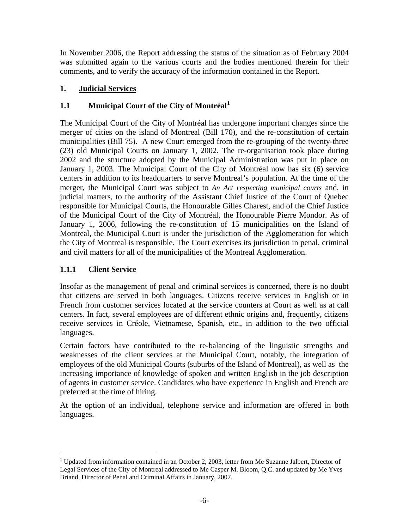<span id="page-6-0"></span>In November 2006, the Report addressing the status of the situation as of February 2004 was submitted again to the various courts and the bodies mentioned therein for their comments, and to verify the accuracy of the information contained in the Report.

# **1. Judicial Services**

# **1.1 Municipal Court of the City of Montréal[1](#page-6-1)**

The Municipal Court of the City of Montréal has undergone important changes since the merger of cities on the island of Montreal (Bill 170), and the re-constitution of certain municipalities (Bill 75). A new Court emerged from the re-grouping of the twenty-three (23) old Municipal Courts on January 1, 2002. The re-organisation took place during 2002 and the structure adopted by the Municipal Administration was put in place on January 1, 2003. The Municipal Court of the City of Montréal now has six (6) service centers in addition to its headquarters to serve Montreal's population. At the time of the merger, the Municipal Court was subject to *An Act respecting municipal courts* and, in judicial matters, to the authority of the Assistant Chief Justice of the Court of Quebec responsible for Municipal Courts, the Honourable Gilles Charest, and of the Chief Justice of the Municipal Court of the City of Montréal, the Honourable Pierre Mondor. As of January 1, 2006, following the re-constitution of 15 municipalities on the Island of Montreal, the Municipal Court is under the jurisdiction of the Agglomeration for which the City of Montreal is responsible. The Court exercises its jurisdiction in penal, criminal and civil matters for all of the municipalities of the Montreal Agglomeration.

# **1.1.1 Client Service**

Insofar as the management of penal and criminal services is concerned, there is no doubt that citizens are served in both languages. Citizens receive services in English or in French from customer services located at the service counters at Court as well as at call centers. In fact, several employees are of different ethnic origins and, frequently, citizens receive services in Créole, Vietnamese, Spanish, etc., in addition to the two official languages.

Certain factors have contributed to the re-balancing of the linguistic strengths and weaknesses of the client services at the Municipal Court, notably, the integration of employees of the old Municipal Courts (suburbs of the Island of Montreal), as well as the increasing importance of knowledge of spoken and written English in the job description of agents in customer service. Candidates who have experience in English and French are preferred at the time of hiring.

At the option of an individual, telephone service and information are offered in both languages.

<span id="page-6-1"></span> $\overline{a}$ <sup>1</sup> Updated from information contained in an October 2, 2003, letter from Me Suzanne Jalbert, Director of Legal Services of the City of Montreal addressed to Me Casper M. Bloom, Q.C. and updated by Me Yves Briand, Director of Penal and Criminal Affairs in January, 2007.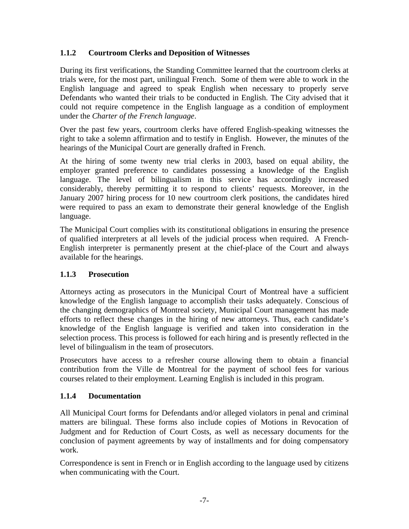# <span id="page-7-0"></span>**1.1.2 Courtroom Clerks and Deposition of Witnesses**

During its first verifications, the Standing Committee learned that the courtroom clerks at trials were, for the most part, unilingual French. Some of them were able to work in the English language and agreed to speak English when necessary to properly serve Defendants who wanted their trials to be conducted in English. The City advised that it could not require competence in the English language as a condition of employment under the *Charter of the French language*.

Over the past few years, courtroom clerks have offered English-speaking witnesses the right to take a solemn affirmation and to testify in English. However, the minutes of the hearings of the Municipal Court are generally drafted in French.

At the hiring of some twenty new trial clerks in 2003, based on equal ability, the employer granted preference to candidates possessing a knowledge of the English language. The level of bilingualism in this service has accordingly increased considerably, thereby permitting it to respond to clients' requests. Moreover, in the January 2007 hiring process for 10 new courtroom clerk positions, the candidates hired were required to pass an exam to demonstrate their general knowledge of the English language.

The Municipal Court complies with its constitutional obligations in ensuring the presence of qualified interpreters at all levels of the judicial process when required. A French-English interpreter is permanently present at the chief-place of the Court and always available for the hearings.

#### **1.1.3 Prosecution**

Attorneys acting as prosecutors in the Municipal Court of Montreal have a sufficient knowledge of the English language to accomplish their tasks adequately. Conscious of the changing demographics of Montreal society, Municipal Court management has made efforts to reflect these changes in the hiring of new attorneys. Thus, each candidate's knowledge of the English language is verified and taken into consideration in the selection process. This process is followed for each hiring and is presently reflected in the level of bilingualism in the team of prosecutors.

Prosecutors have access to a refresher course allowing them to obtain a financial contribution from the Ville de Montreal for the payment of school fees for various courses related to their employment. Learning English is included in this program.

#### **1.1.4 Documentation**

All Municipal Court forms for Defendants and/or alleged violators in penal and criminal matters are bilingual. These forms also include copies of Motions in Revocation of Judgment and for Reduction of Court Costs, as well as necessary documents for the conclusion of payment agreements by way of installments and for doing compensatory work.

Correspondence is sent in French or in English according to the language used by citizens when communicating with the Court.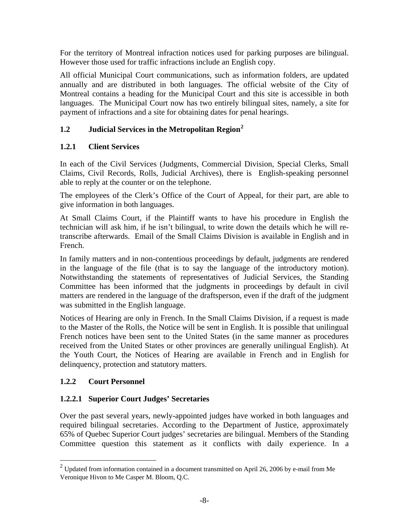<span id="page-8-0"></span>For the territory of Montreal infraction notices used for parking purposes are bilingual. However those used for traffic infractions include an English copy.

All official Municipal Court communications, such as information folders, are updated annually and are distributed in both languages. The official website of the City of Montreal contains a heading for the Municipal Court and this site is accessible in both languages. The Municipal Court now has two entirely bilingual sites, namely, a site for payment of infractions and a site for obtaining dates for penal hearings.

# **1.2 Judicial Services in the Metropolitan Region[2](#page-8-1)**

# **1.2.1 Client Services**

In each of the Civil Services (Judgments, Commercial Division, Special Clerks, Small Claims, Civil Records, Rolls, Judicial Archives), there is English-speaking personnel able to reply at the counter or on the telephone.

The employees of the Clerk's Office of the Court of Appeal, for their part, are able to give information in both languages.

At Small Claims Court, if the Plaintiff wants to have his procedure in English the technician will ask him, if he isn't bilingual, to write down the details which he will retranscribe afterwards. Email of the Small Claims Division is available in English and in French.

In family matters and in non-contentious proceedings by default, judgments are rendered in the language of the file (that is to say the language of the introductory motion). Notwithstanding the statements of representatives of Judicial Services, the Standing Committee has been informed that the judgments in proceedings by default in civil matters are rendered in the language of the draftsperson, even if the draft of the judgment was submitted in the English language.

Notices of Hearing are only in French. In the Small Claims Division, if a request is made to the Master of the Rolls, the Notice will be sent in English. It is possible that unilingual French notices have been sent to the United States (in the same manner as procedures received from the United States or other provinces are generally unilingual English). At the Youth Court, the Notices of Hearing are available in French and in English for delinquency, protection and statutory matters.

# **1.2.2 Court Personnel**

 $\overline{a}$ 

# **1.2.2.1 Superior Court Judges' Secretaries**

Over the past several years, newly-appointed judges have worked in both languages and required bilingual secretaries. According to the Department of Justice, approximately 65% of Quebec Superior Court judges' secretaries are bilingual. Members of the Standing Committee question this statement as it conflicts with daily experience. In a

<span id="page-8-1"></span><sup>&</sup>lt;sup>2</sup> Updated from information contained in a document transmitted on April 26, 2006 by e-mail from Me Veronique Hivon to Me Casper M. Bloom, Q.C.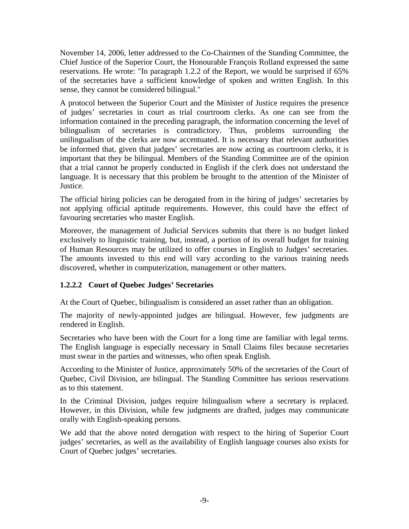November 14, 2006, letter addressed to the Co-Chairmen of the Standing Committee, the Chief Justice of the Superior Court, the Honourable François Rolland expressed the same reservations. He wrote: "In paragraph 1.2.2 of the Report, we would be surprised if 65% of the secretaries have a sufficient knowledge of spoken and written English. In this sense, they cannot be considered bilingual."

A protocol between the Superior Court and the Minister of Justice requires the presence of judges' secretaries in court as trial courtroom clerks. As one can see from the information contained in the preceding paragraph, the information concerning the level of bilingualism of secretaries is contradictory. Thus, problems surrounding the unilingualism of the clerks are now accentuated. It is necessary that relevant authorities be informed that, given that judges' secretaries are now acting as courtroom clerks, it is important that they be bilingual. Members of the Standing Committee are of the opinion that a trial cannot be properly conducted in English if the clerk does not understand the language. It is necessary that this problem be brought to the attention of the Minister of Justice.

The official hiring policies can be derogated from in the hiring of judges' secretaries by not applying official aptitude requirements. However, this could have the effect of favouring secretaries who master English.

Moreover, the management of Judicial Services submits that there is no budget linked exclusively to linguistic training, but, instead, a portion of its overall budget for training of Human Resources may be utilized to offer courses in English to Judges' secretaries. The amounts invested to this end will vary according to the various training needs discovered, whether in computerization, management or other matters.

# **1.2.2.2 Court of Quebec Judges' Secretaries**

At the Court of Quebec, bilingualism is considered an asset rather than an obligation.

The majority of newly-appointed judges are bilingual. However, few judgments are rendered in English.

Secretaries who have been with the Court for a long time are familiar with legal terms. The English language is especially necessary in Small Claims files because secretaries must swear in the parties and witnesses, who often speak English.

According to the Minister of Justice, approximately 50% of the secretaries of the Court of Quebec, Civil Division, are bilingual. The Standing Committee has serious reservations as to this statement.

In the Criminal Division, judges require bilingualism where a secretary is replaced. However, in this Division, while few judgments are drafted, judges may communicate orally with English-speaking persons.

We add that the above noted derogation with respect to the hiring of Superior Court judges' secretaries, as well as the availability of English language courses also exists for Court of Quebec judges' secretaries.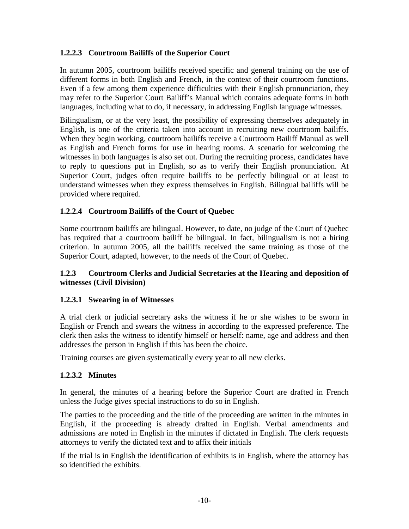# <span id="page-10-0"></span>**1.2.2.3 Courtroom Bailiffs of the Superior Court**

In autumn 2005, courtroom bailiffs received specific and general training on the use of different forms in both English and French, in the context of their courtroom functions. Even if a few among them experience difficulties with their English pronunciation, they may refer to the Superior Court Bailiff's Manual which contains adequate forms in both languages, including what to do, if necessary, in addressing English language witnesses.

Bilingualism, or at the very least, the possibility of expressing themselves adequately in English, is one of the criteria taken into account in recruiting new courtroom bailiffs. When they begin working, courtroom bailiffs receive a Courtroom Bailiff Manual as well as English and French forms for use in hearing rooms. A scenario for welcoming the witnesses in both languages is also set out. During the recruiting process, candidates have to reply to questions put in English, so as to verify their English pronunciation. At Superior Court, judges often require bailiffs to be perfectly bilingual or at least to understand witnesses when they express themselves in English. Bilingual bailiffs will be provided where required.

# **1.2.2.4 Courtroom Bailiffs of the Court of Quebec**

Some courtroom bailiffs are bilingual. However, to date, no judge of the Court of Quebec has required that a courtroom bailiff be bilingual. In fact, bilingualism is not a hiring criterion. In autumn 2005, all the bailiffs received the same training as those of the Superior Court, adapted, however, to the needs of the Court of Quebec.

#### **1.2.3 Courtroom Clerks and Judicial Secretaries at the Hearing and deposition of witnesses (Civil Division)**

#### **1.2.3.1 Swearing in of Witnesses**

A trial clerk or judicial secretary asks the witness if he or she wishes to be sworn in English or French and swears the witness in according to the expressed preference. The clerk then asks the witness to identify himself or herself: name, age and address and then addresses the person in English if this has been the choice.

Training courses are given systematically every year to all new clerks.

#### **1.2.3.2 Minutes**

In general, the minutes of a hearing before the Superior Court are drafted in French unless the Judge gives special instructions to do so in English.

The parties to the proceeding and the title of the proceeding are written in the minutes in English, if the proceeding is already drafted in English. Verbal amendments and admissions are noted in English in the minutes if dictated in English. The clerk requests attorneys to verify the dictated text and to affix their initials

If the trial is in English the identification of exhibits is in English, where the attorney has so identified the exhibits.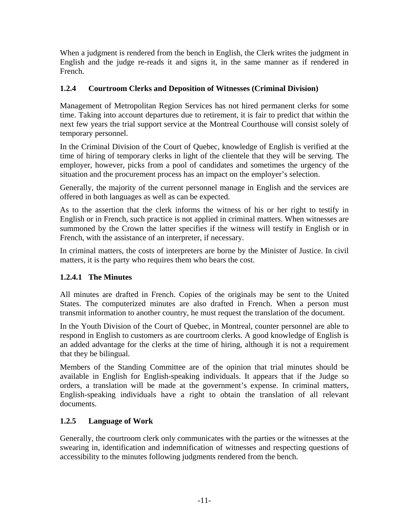<span id="page-11-0"></span>When a judgment is rendered from the bench in English, the Clerk writes the judgment in English and the judge re-reads it and signs it, in the same manner as if rendered in French.

# **1.2.4 Courtroom Clerks and Deposition of Witnesses (Criminal Division)**

Management of Metropolitan Region Services has not hired permanent clerks for some time. Taking into account departures due to retirement, it is fair to predict that within the next few years the trial support service at the Montreal Courthouse will consist solely of temporary personnel.

In the Criminal Division of the Court of Quebec, knowledge of English is verified at the time of hiring of temporary clerks in light of the clientele that they will be serving. The employer, however, picks from a pool of candidates and sometimes the urgency of the situation and the procurement process has an impact on the employer's selection.

Generally, the majority of the current personnel manage in English and the services are offered in both languages as well as can be expected.

As to the assertion that the clerk informs the witness of his or her right to testify in English or in French, such practice is not applied in criminal matters. When witnesses are summoned by the Crown the latter specifies if the witness will testify in English or in French, with the assistance of an interpreter, if necessary.

In criminal matters, the costs of interpreters are borne by the Minister of Justice. In civil matters, it is the party who requires them who bears the cost.

# **1.2.4.1 The Minutes**

All minutes are drafted in French. Copies of the originals may be sent to the United States. The computerized minutes are also drafted in French. When a person must transmit information to another country, he must request the translation of the document.

In the Youth Division of the Court of Quebec, in Montreal, counter personnel are able to respond in English to customers as are courtroom clerks. A good knowledge of English is an added advantage for the clerks at the time of hiring, although it is not a requirement that they be bilingual.

Members of the Standing Committee are of the opinion that trial minutes should be available in English for English-speaking individuals. It appears that if the Judge so orders, a translation will be made at the government's expense. In criminal matters, English-speaking individuals have a right to obtain the translation of all relevant documents.

# **1.2.5 Language of Work**

Generally, the courtroom clerk only communicates with the parties or the witnesses at the swearing in, identification and indemnification of witnesses and respecting questions of accessibility to the minutes following judgments rendered from the bench.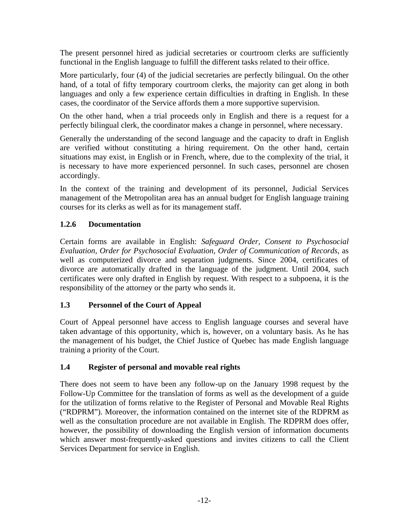<span id="page-12-0"></span>The present personnel hired as judicial secretaries or courtroom clerks are sufficiently functional in the English language to fulfill the different tasks related to their office.

More particularly, four (4) of the judicial secretaries are perfectly bilingual. On the other hand, of a total of fifty temporary courtroom clerks, the majority can get along in both languages and only a few experience certain difficulties in drafting in English. In these cases, the coordinator of the Service affords them a more supportive supervision.

On the other hand, when a trial proceeds only in English and there is a request for a perfectly bilingual clerk, the coordinator makes a change in personnel, where necessary.

Generally the understanding of the second language and the capacity to draft in English are verified without constituting a hiring requirement. On the other hand, certain situations may exist, in English or in French, where, due to the complexity of the trial, it is necessary to have more experienced personnel. In such cases, personnel are chosen accordingly.

In the context of the training and development of its personnel, Judicial Services management of the Metropolitan area has an annual budget for English language training courses for its clerks as well as for its management staff.

# **1.2.6 Documentation**

Certain forms are available in English: *Safeguard Order, Consent to Psychosocial Evaluation, Order for Psychosocial Evaluation, Order of Communication of Records*, as well as computerized divorce and separation judgments. Since 2004, certificates of divorce are automatically drafted in the language of the judgment. Until 2004, such certificates were only drafted in English by request. With respect to a subpoena, it is the responsibility of the attorney or the party who sends it.

# **1.3 Personnel of the Court of Appeal**

Court of Appeal personnel have access to English language courses and several have taken advantage of this opportunity, which is, however, on a voluntary basis. As he has the management of his budget, the Chief Justice of Quebec has made English language training a priority of the Court.

# **1.4 Register of personal and movable real rights**

There does not seem to have been any follow-up on the January 1998 request by the Follow-Up Committee for the translation of forms as well as the development of a guide for the utilization of forms relative to the Register of Personal and Movable Real Rights ("RDPRM"). Moreover, the information contained on the internet site of the RDPRM as well as the consultation procedure are not available in English. The RDPRM does offer, however, the possibility of downloading the English version of information documents which answer most-frequently-asked questions and invites citizens to call the Client Services Department for service in English.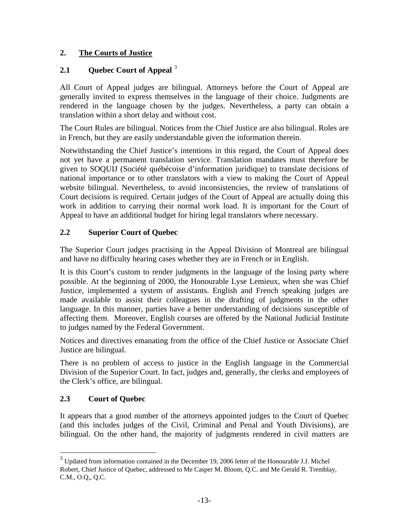# <span id="page-13-0"></span>**2. The Courts of Justice**

# **2.1 Quebec Court of Appeal** [3](#page-13-1)

All Court of Appeal judges are bilingual. Attorneys before the Court of Appeal are generally invited to express themselves in the language of their choice. Judgments are rendered in the language chosen by the judges. Nevertheless, a party can obtain a translation within a short delay and without cost.

The Court Rules are bilingual. Notices from the Chief Justice are also bilingual. Roles are in French, but they are easily understandable given the information therein.

Notwithstanding the Chief Justice's intentions in this regard, the Court of Appeal does not yet have a permanent translation service. Translation mandates must therefore be given to SOQUIJ (Société québécoise d'information juridique) to translate decisions of national importance or to other translators with a view to making the Court of Appeal website bilingual. Nevertheless, to avoid inconsistencies, the review of translations of Court decisions is required. Certain judges of the Court of Appeal are actually doing this work in addition to carrying their normal work load. It is important for the Court of Appeal to have an additional budget for hiring legal translators where necessary.

# **2.2 Superior Court of Quebec**

The Superior Court judges practising in the Appeal Division of Montreal are bilingual and have no difficulty hearing cases whether they are in French or in English.

It is this Court's custom to render judgments in the language of the losing party where possible. At the beginning of 2000, the Honourable Lyse Lemieux, when she was Chief Justice, implemented a system of assistants. English and French speaking judges are made available to assist their colleagues in the drafting of judgments in the other language. In this manner, parties have a better understanding of decisions susceptible of affecting them. Moreover, English courses are offered by the National Judicial Institute to judges named by the Federal Government.

Notices and directives emanating from the office of the Chief Justice or Associate Chief Justice are bilingual.

There is no problem of access to justice in the English language in the Commercial Division of the Superior Court. In fact, judges and, generally, the clerks and employees of the Clerk's office, are bilingual.

#### **2.3 Court of Quebec**

It appears that a good number of the attorneys appointed judges to the Court of Quebec (and this includes judges of the Civil, Criminal and Penal and Youth Divisions), are bilingual. On the other hand, the majority of judgments rendered in civil matters are

<span id="page-13-1"></span><sup>&</sup>lt;sup>3</sup> Updated from information contained in the December 19, 2006 letter of the Honourable J.J. Michel Robert, Chief Justice of Quebec, addressed to Me Casper M. Bloom, Q.C. and Me Gerald R. Tremblay, C.M., O.Q,, Q.C.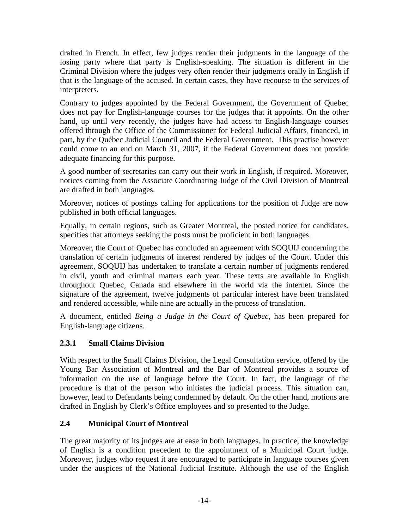<span id="page-14-0"></span>drafted in French. In effect, few judges render their judgments in the language of the losing party where that party is English-speaking. The situation is different in the Criminal Division where the judges very often render their judgments orally in English if that is the language of the accused. In certain cases, they have recourse to the services of interpreters.

Contrary to judges appointed by the Federal Government, the Government of Quebec does not pay for English-language courses for the judges that it appoints. On the other hand, up until very recently, the judges have had access to English-language courses offered through the Office of the Commissioner for Federal Judicial Affairs, financed, in part, by the Québec Judicial Council and the Federal Government. This practise however could come to an end on March 31, 2007, if the Federal Government does not provide adequate financing for this purpose.

A good number of secretaries can carry out their work in English, if required. Moreover, notices coming from the Associate Coordinating Judge of the Civil Division of Montreal are drafted in both languages.

Moreover, notices of postings calling for applications for the position of Judge are now published in both official languages.

Equally, in certain regions, such as Greater Montreal, the posted notice for candidates, specifies that attorneys seeking the posts must be proficient in both languages.

Moreover, the Court of Quebec has concluded an agreement with SOQUIJ concerning the translation of certain judgments of interest rendered by judges of the Court. Under this agreement, SOQUIJ has undertaken to translate a certain number of judgments rendered in civil, youth and criminal matters each year. These texts are available in English throughout Quebec, Canada and elsewhere in the world via the internet. Since the signature of the agreement, twelve judgments of particular interest have been translated and rendered accessible, while nine are actually in the process of translation.

A document, entitled *Being a Judge in the Court of Quebec*, has been prepared for English-language citizens.

# **2.3.1 Small Claims Division**

With respect to the Small Claims Division, the Legal Consultation service, offered by the Young Bar Association of Montreal and the Bar of Montreal provides a source of information on the use of language before the Court. In fact, the language of the procedure is that of the person who initiates the judicial process. This situation can, however, lead to Defendants being condemned by default. On the other hand, motions are drafted in English by Clerk's Office employees and so presented to the Judge.

# **2.4 Municipal Court of Montreal**

The great majority of its judges are at ease in both languages. In practice, the knowledge of English is a condition precedent to the appointment of a Municipal Court judge. Moreover, judges who request it are encouraged to participate in language courses given under the auspices of the National Judicial Institute. Although the use of the English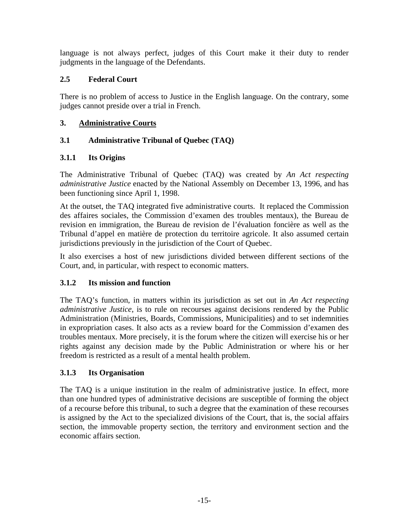<span id="page-15-0"></span>language is not always perfect, judges of this Court make it their duty to render judgments in the language of the Defendants.

# **2.5 Federal Court**

There is no problem of access to Justice in the English language. On the contrary, some judges cannot preside over a trial in French.

# **3. Administrative Courts**

# **3.1 Administrative Tribunal of Quebec (TAQ)**

# **3.1.1 Its Origins**

The Administrative Tribunal of Quebec (TAQ) was created by *An Act respecting administrative Justice* enacted by the National Assembly on December 13, 1996, and has been functioning since April 1, 1998.

At the outset, the TAQ integrated five administrative courts. It replaced the Commission des affaires sociales, the Commission d'examen des troubles mentaux), the Bureau de revision en immigration, the Bureau de revision de l'évaluation foncière as well as the Tribunal d'appel en matière de protection du territoire agricole. It also assumed certain jurisdictions previously in the jurisdiction of the Court of Quebec.

It also exercises a host of new jurisdictions divided between different sections of the Court, and, in particular, with respect to economic matters.

#### **3.1.2 Its mission and function**

The TAQ's function, in matters within its jurisdiction as set out in *An Act respecting administrative Justice*, is to rule on recourses against decisions rendered by the Public Administration (Ministries, Boards, Commissions, Municipalities) and to set indemnities in expropriation cases. It also acts as a review board for the Commission d'examen des troubles mentaux. More precisely, it is the forum where the citizen will exercise his or her rights against any decision made by the Public Administration or where his or her freedom is restricted as a result of a mental health problem.

#### **3.1.3 Its Organisation**

The TAQ is a unique institution in the realm of administrative justice. In effect, more than one hundred types of administrative decisions are susceptible of forming the object of a recourse before this tribunal, to such a degree that the examination of these recourses is assigned by the Act to the specialized divisions of the Court, that is, the social affairs section, the immovable property section, the territory and environment section and the economic affairs section.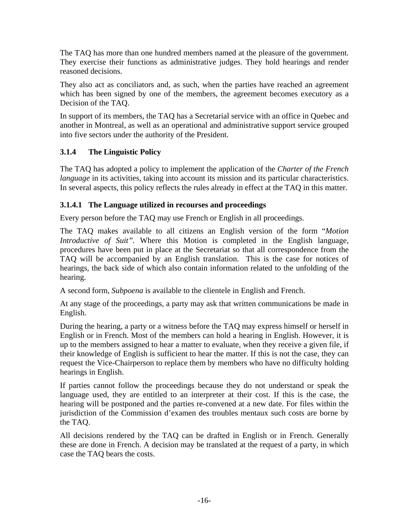<span id="page-16-0"></span>The TAQ has more than one hundred members named at the pleasure of the government. They exercise their functions as administrative judges. They hold hearings and render reasoned decisions.

They also act as conciliators and, as such, when the parties have reached an agreement which has been signed by one of the members, the agreement becomes executory as a Decision of the TAQ.

In support of its members, the TAQ has a Secretarial service with an office in Quebec and another in Montreal, as well as an operational and administrative support service grouped into five sectors under the authority of the President.

# **3.1.4 The Linguistic Policy**

The TAQ has adopted a policy to implement the application of the *Charter of the French language* in its activities, taking into account its mission and its particular characteristics. In several aspects, this policy reflects the rules already in effect at the TAQ in this matter.

# **3.1.4.1 The Language utilized in recourses and proceedings**

Every person before the TAQ may use French or English in all proceedings.

The TAQ makes available to all citizens an English version of the form "*Motion Introductive of Suit".* Where this Motion is completed in the English language, procedures have been put in place at the Secretariat so that all correspondence from the TAQ will be accompanied by an English translation. This is the case for notices of hearings, the back side of which also contain information related to the unfolding of the hearing.

A second form, *Subpoena* is available to the clientele in English and French.

At any stage of the proceedings, a party may ask that written communications be made in English.

During the hearing, a party or a witness before the TAQ may express himself or herself in English or in French. Most of the members can hold a hearing in English. However, it is up to the members assigned to hear a matter to evaluate, when they receive a given file, if their knowledge of English is sufficient to hear the matter. If this is not the case, they can request the Vice-Chairperson to replace them by members who have no difficulty holding hearings in English.

If parties cannot follow the proceedings because they do not understand or speak the language used, they are entitled to an interpreter at their cost. If this is the case, the hearing will be postponed and the parties re-convened at a new date. For files within the jurisdiction of the Commission d'examen des troubles mentaux such costs are borne by the TAQ.

All decisions rendered by the TAQ can be drafted in English or in French. Generally these are done in French. A decision may be translated at the request of a party, in which case the TAQ bears the costs.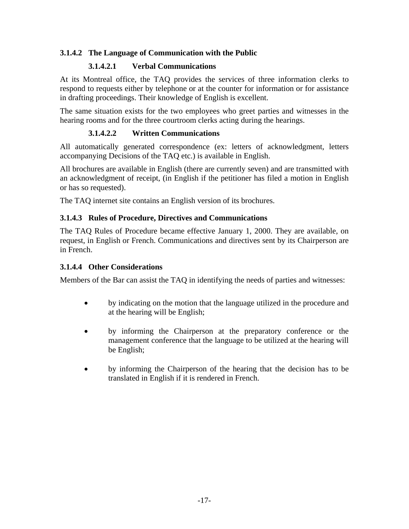# <span id="page-17-0"></span>**3.1.4.2 The Language of Communication with the Public**

# **3.1.4.2.1 Verbal Communications**

At its Montreal office, the TAQ provides the services of three information clerks to respond to requests either by telephone or at the counter for information or for assistance in drafting proceedings. Their knowledge of English is excellent.

The same situation exists for the two employees who greet parties and witnesses in the hearing rooms and for the three courtroom clerks acting during the hearings.

# **3.1.4.2.2 Written Communications**

All automatically generated correspondence (ex: letters of acknowledgment, letters accompanying Decisions of the TAQ etc.) is available in English.

All brochures are available in English (there are currently seven) and are transmitted with an acknowledgment of receipt, (in English if the petitioner has filed a motion in English or has so requested).

The TAQ internet site contains an English version of its brochures.

#### **3.1.4.3 Rules of Procedure, Directives and Communications**

The TAQ Rules of Procedure became effective January 1, 2000. They are available, on request, in English or French. Communications and directives sent by its Chairperson are in French.

#### **3.1.4.4 Other Considerations**

Members of the Bar can assist the TAQ in identifying the needs of parties and witnesses:

- by indicating on the motion that the language utilized in the procedure and at the hearing will be English;
- by informing the Chairperson at the preparatory conference or the management conference that the language to be utilized at the hearing will be English;
- by informing the Chairperson of the hearing that the decision has to be translated in English if it is rendered in French.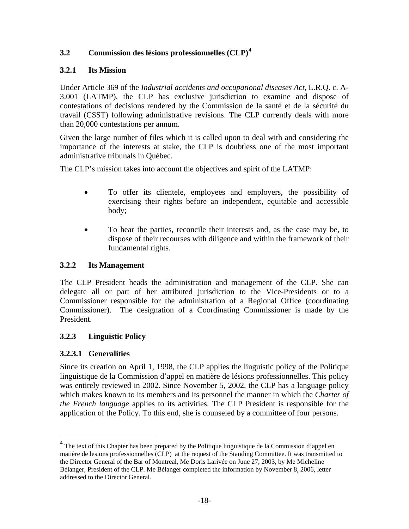# <span id="page-18-0"></span>**3.2 Commission des lésions professionnelles (CLP)**[4](#page-18-1)

# **3.2.1 Its Mission**

Under Article 369 of the *Industrial accidents and occupational diseases Act,* L.R.Q. c. A-3.001 (LATMP), the CLP has exclusive jurisdiction to examine and dispose of contestations of decisions rendered by the Commission de la santé et de la sécurité du travail (CSST) following administrative revisions. The CLP currently deals with more than 20,000 contestations per annum.

Given the large number of files which it is called upon to deal with and considering the importance of the interests at stake, the CLP is doubtless one of the most important administrative tribunals in Québec.

The CLP's mission takes into account the objectives and spirit of the LATMP:

- To offer its clientele, employees and employers, the possibility of exercising their rights before an independent, equitable and accessible body;
- To hear the parties, reconcile their interests and, as the case may be, to dispose of their recourses with diligence and within the framework of their fundamental rights.

# **3.2.2 Its Management**

The CLP President heads the administration and management of the CLP. She can delegate all or part of her attributed jurisdiction to the Vice-Presidents or to a Commissioner responsible for the administration of a Regional Office (coordinating Commissioner). The designation of a Coordinating Commissioner is made by the President.

# **3.2.3 Linguistic Policy**

# **3.2.3.1 Generalities**

 $\overline{a}$ 

Since its creation on April 1, 1998, the CLP applies the linguistic policy of the Politique linguistique de la Commission d'appel en matière de lésions professionnelles. This policy was entirely reviewed in 2002. Since November 5, 2002, the CLP has a language policy which makes known to its members and its personnel the manner in which the *Charter of the French language* applies to its activities. The CLP President is responsible for the application of the Policy. To this end, she is counseled by a committee of four persons.

<span id="page-18-1"></span><sup>&</sup>lt;sup>4</sup> The text of this Chapter has been prepared by the Politique linguistique de la Commission d'appel en matière de lesions professionnelles (CLP) at the request of the Standing Committee. It was transmitted to the Director General of the Bar of Montreal, Me Doris Larivée on June 27, 2003, by Me Micheline Bélanger, President of the CLP. Me Bélanger completed the information by November 8, 2006, letter addressed to the Director General.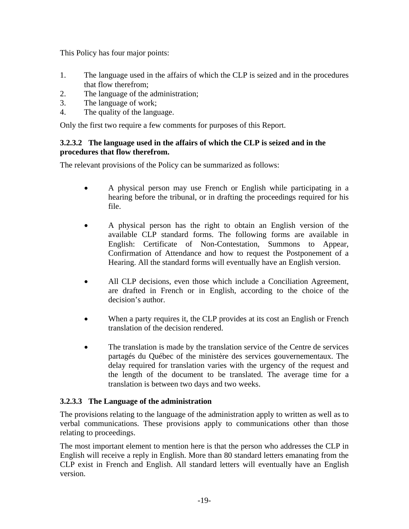<span id="page-19-0"></span>This Policy has four major points:

- 1. The language used in the affairs of which the CLP is seized and in the procedures that flow therefrom;
- 2. The language of the administration;
- 3. The language of work;
- 4. The quality of the language.

Only the first two require a few comments for purposes of this Report.

#### **3.2.3.2 The language used in the affairs of which the CLP is seized and in the procedures that flow therefrom.**

The relevant provisions of the Policy can be summarized as follows:

- A physical person may use French or English while participating in a hearing before the tribunal, or in drafting the proceedings required for his file.
- A physical person has the right to obtain an English version of the available CLP standard forms. The following forms are available in English: Certificate of Non-Contestation, Summons to Appear, Confirmation of Attendance and how to request the Postponement of a Hearing. All the standard forms will eventually have an English version.
- All CLP decisions, even those which include a Conciliation Agreement, are drafted in French or in English, according to the choice of the decision's author.
- When a party requires it, the CLP provides at its cost an English or French translation of the decision rendered.
- The translation is made by the translation service of the Centre de services partagés du Québec of the ministère des services gouvernementaux. The delay required for translation varies with the urgency of the request and the length of the document to be translated. The average time for a translation is between two days and two weeks.

#### **3.2.3.3 The Language of the administration**

The provisions relating to the language of the administration apply to written as well as to verbal communications. These provisions apply to communications other than those relating to proceedings.

The most important element to mention here is that the person who addresses the CLP in English will receive a reply in English. More than 80 standard letters emanating from the CLP exist in French and English. All standard letters will eventually have an English version.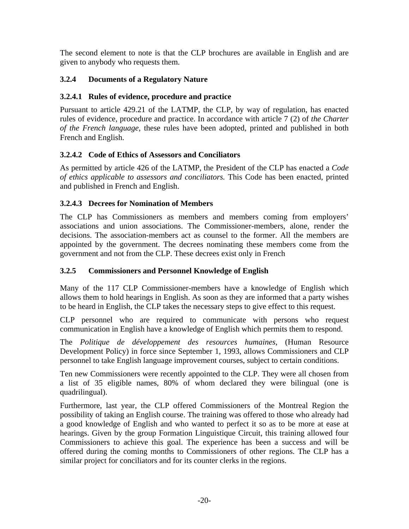<span id="page-20-0"></span>The second element to note is that the CLP brochures are available in English and are given to anybody who requests them.

# **3.2.4 Documents of a Regulatory Nature**

# **3.2.4.1 Rules of evidence, procedure and practice**

Pursuant to article 429.21 of the LATMP, the CLP, by way of regulation, has enacted rules of evidence, procedure and practice. In accordance with article 7 (2) of *the Charter of the French language,* these rules have been adopted, printed and published in both French and English.

# **3.2.4.2 Code of Ethics of Assessors and Conciliators**

As permitted by article 426 of the LATMP, the President of the CLP has enacted a *Code of ethics applicable to assessors and conciliators.* This Code has been enacted, printed and published in French and English.

# **3.2.4.3 Decrees for Nomination of Members**

The CLP has Commissioners as members and members coming from employers' associations and union associations. The Commissioner-members, alone, render the decisions. The association-members act as counsel to the former. All the members are appointed by the government. The decrees nominating these members come from the government and not from the CLP. These decrees exist only in French

# **3.2.5 Commissioners and Personnel Knowledge of English**

Many of the 117 CLP Commissioner-members have a knowledge of English which allows them to hold hearings in English. As soon as they are informed that a party wishes to be heard in English, the CLP takes the necessary steps to give effect to this request.

CLP personnel who are required to communicate with persons who request communication in English have a knowledge of English which permits them to respond.

The *Politique de développement des resources humaines*, (Human Resource Development Policy) in force since September 1, 1993, allows Commissioners and CLP personnel to take English language improvement courses, subject to certain conditions.

Ten new Commissioners were recently appointed to the CLP. They were all chosen from a list of 35 eligible names, 80% of whom declared they were bilingual (one is quadrilingual).

Furthermore, last year, the CLP offered Commissioners of the Montreal Region the possibility of taking an English course. The training was offered to those who already had a good knowledge of English and who wanted to perfect it so as to be more at ease at hearings. Given by the group Formation Linguistique Circuit, this training allowed four Commissioners to achieve this goal. The experience has been a success and will be offered during the coming months to Commissioners of other regions. The CLP has a similar project for conciliators and for its counter clerks in the regions.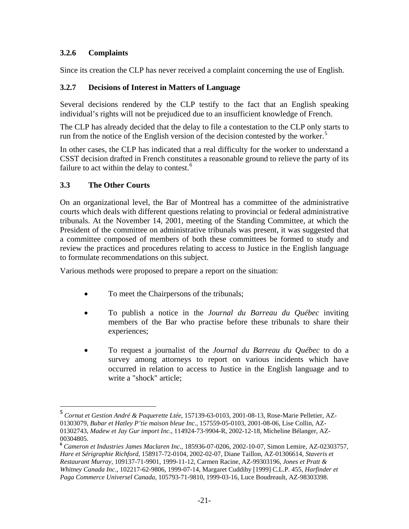# <span id="page-21-0"></span>**3.2.6 Complaints**

Since its creation the CLP has never received a complaint concerning the use of English.

#### **3.2.7 Decisions of Interest in Matters of Language**

Several decisions rendered by the CLP testify to the fact that an English speaking individual's rights will not be prejudiced due to an insufficient knowledge of French.

The CLP has already decided that the delay to file a contestation to the CLP only starts to run from the notice of the English version of the decision contested by the worker. $\delta$ 

In other cases, the CLP has indicated that a real difficulty for the worker to understand a CSST decision drafted in French constitutes a reasonable ground to relieve the party of its failure to act within the delay to contest. $6$ 

# **3.3 The Other Courts**

 $\overline{a}$ 

On an organizational level, the Bar of Montreal has a committee of the administrative courts which deals with different questions relating to provincial or federal administrative tribunals. At the November 14, 2001, meeting of the Standing Committee, at which the President of the committee on administrative tribunals was present, it was suggested that a committee composed of members of both these committees be formed to study and review the practices and procedures relating to access to Justice in the English language to formulate recommendations on this subject.

Various methods were proposed to prepare a report on the situation:

- To meet the Chairpersons of the tribunals;
- To publish a notice in the *Journal du Barreau du Québec* inviting members of the Bar who practise before these tribunals to share their experiences;
- To request a journalist of the *Journal du Barreau du Québec* to do a survey among attorneys to report on various incidents which have occurred in relation to access to Justice in the English language and to write a "shock" article;

<span id="page-21-1"></span>**<sup>5</sup>** *Cornut et Gestion André & Paquerette Ltée*, 157139-63-0103, 2001-08-13, Rose-Marie Pelletier, AZ-01303079, *Bubar et Hatley P'tie maison bleue Inc*., 157559-05-0103, 2001-08-06, Lise Collin, AZ-01302743, *Madew et Jay Gur import Inc*., 114924-73-9904-R, 2002-12-18, Micheline Bélanger, AZ-00304805.

<span id="page-21-2"></span>**<sup>6</sup>** *Cameron et Industries James Maclaren Inc*., 185936-07-0206, 2002-10-07, Simon Lemire, AZ-02303757, *Hare et Sérigraphie Richford*, 158917-72-0104, 2002-02-07, Diane Taillon, AZ-01306614, *Staveris et Restaurant Murray*, 109137-71-9901, 1999-11-12, Carmen Racine, AZ-99303196, *Jones et Pratt & Whitney Canada Inc*., 102217-62-9806, 1999-07-14, Margaret Cuddihy [1999] C.L.P. 455, *Harfinder et Paga Commerce Universel Canada*, 105793-71-9810, 1999-03-16, Luce Boudreault, AZ-98303398.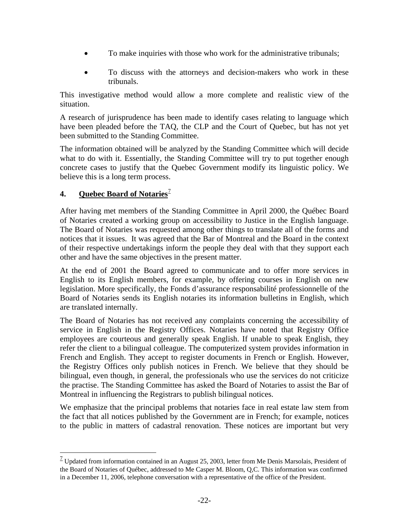- <span id="page-22-0"></span>• To make inquiries with those who work for the administrative tribunals;
- To discuss with the attorneys and decision-makers who work in these tribunals.

This investigative method would allow a more complete and realistic view of the situation.

A research of jurisprudence has been made to identify cases relating to language which have been pleaded before the TAQ, the CLP and the Court of Quebec, but has not yet been submitted to the Standing Committee.

The information obtained will be analyzed by the Standing Committee which will decide what to do with it. Essentially, the Standing Committee will try to put together enough concrete cases to justify that the Quebec Government modify its linguistic policy. We believe this is a long term process.

# **4. Quebec Board of Notaries**<sup>2</sup>

 $\overline{a}$ 

After having met members of the Standing Committee in April 2000, the Québec Board of Notaries created a working group on accessibility to Justice in the English language. The Board of Notaries was requested among other things to translate all of the forms and notices that it issues. It was agreed that the Bar of Montreal and the Board in the context of their respective undertakings inform the people they deal with that they support each other and have the same objectives in the present matter.

At the end of 2001 the Board agreed to communicate and to offer more services in English to its English members, for example, by offering courses in English on new legislation. More specifically, the Fonds d'assurance responsabilité professionnelle of the Board of Notaries sends its English notaries its information bulletins in English, which are translated internally.

The Board of Notaries has not received any complaints concerning the accessibility of service in English in the Registry Offices. Notaries have noted that Registry Office employees are courteous and generally speak English. If unable to speak English, they refer the client to a bilingual colleague. The computerized system provides information in French and English. They accept to register documents in French or English. However, the Registry Offices only publish notices in French. We believe that they should be bilingual, even though, in general, the professionals who use the services do not criticize the practise. The Standing Committee has asked the Board of Notaries to assist the Bar of Montreal in influencing the Registrars to publish bilingual notices.

We emphasize that the principal problems that notaries face in real estate law stem from the fact that all notices published by the Government are in French; for example, notices to the public in matters of cadastral renovation. These notices are important but very

<span id="page-22-1"></span> $1/2$  Updated from information contained in an August 25, 2003, letter from Me Denis Marsolais, President of the Board of Notaries of Québec, addressed to Me Casper M. Bloom, Q,C. This information was confirmed in a December 11, 2006, telephone conversation with a representative of the office of the President.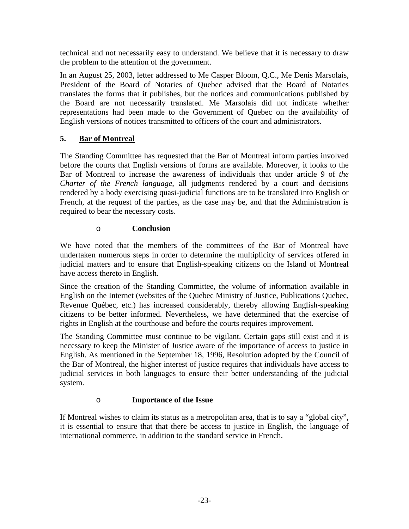<span id="page-23-0"></span>technical and not necessarily easy to understand. We believe that it is necessary to draw the problem to the attention of the government.

In an August 25, 2003, letter addressed to Me Casper Bloom, Q.C., Me Denis Marsolais, President of the Board of Notaries of Quebec advised that the Board of Notaries translates the forms that it publishes, but the notices and communications published by the Board are not necessarily translated. Me Marsolais did not indicate whether representations had been made to the Government of Quebec on the availability of English versions of notices transmitted to officers of the court and administrators.

# **5. Bar of Montreal**

The Standing Committee has requested that the Bar of Montreal inform parties involved before the courts that English versions of forms are available. Moreover, it looks to the Bar of Montreal to increase the awareness of individuals that under article 9 of *the Charter of the French language*, all judgments rendered by a court and decisions rendered by a body exercising quasi-judicial functions are to be translated into English or French, at the request of the parties, as the case may be, and that the Administration is required to bear the necessary costs.

# o **Conclusion**

We have noted that the members of the committees of the Bar of Montreal have undertaken numerous steps in order to determine the multiplicity of services offered in judicial matters and to ensure that English-speaking citizens on the Island of Montreal have access thereto in English.

Since the creation of the Standing Committee, the volume of information available in English on the Internet (websites of the Quebec Ministry of Justice, Publications Quebec, Revenue Québec, etc.) has increased considerably, thereby allowing English-speaking citizens to be better informed. Nevertheless, we have determined that the exercise of rights in English at the courthouse and before the courts requires improvement.

The Standing Committee must continue to be vigilant. Certain gaps still exist and it is necessary to keep the Minister of Justice aware of the importance of access to justice in English. As mentioned in the September 18, 1996, Resolution adopted by the Council of the Bar of Montreal, the higher interest of justice requires that individuals have access to judicial services in both languages to ensure their better understanding of the judicial system.

# o **Importance of the Issue**

If Montreal wishes to claim its status as a metropolitan area, that is to say a "global city", it is essential to ensure that that there be access to justice in English, the language of international commerce, in addition to the standard service in French.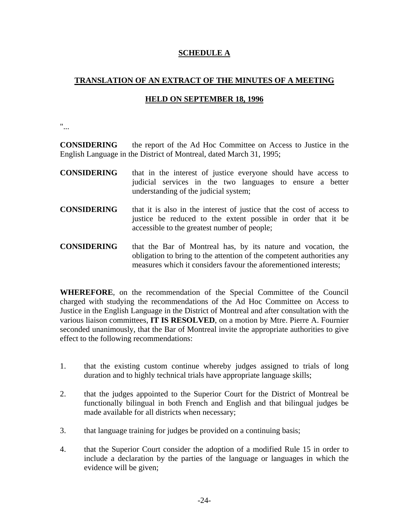# **SCHEDULE A**

# **TRANSLATION OF AN EXTRACT OF THE MINUTES OF A MEETING**

#### **HELD ON SEPTEMBER 18, 1996**

"...

**CONSIDERING** the report of the Ad Hoc Committee on Access to Justice in the English Language in the District of Montreal, dated March 31, 1995;

- **CONSIDERING** that in the interest of justice everyone should have access to judicial services in the two languages to ensure a better understanding of the judicial system;
- **CONSIDERING** that it is also in the interest of justice that the cost of access to justice be reduced to the extent possible in order that it be accessible to the greatest number of people;
- **CONSIDERING** that the Bar of Montreal has, by its nature and vocation, the obligation to bring to the attention of the competent authorities any measures which it considers favour the aforementioned interests;

**WHEREFORE**, on the recommendation of the Special Committee of the Council charged with studying the recommendations of the Ad Hoc Committee on Access to Justice in the English Language in the District of Montreal and after consultation with the various liaison committees, **IT IS RESOLVED**, on a motion by Mtre. Pierre A. Fournier seconded unanimously, that the Bar of Montreal invite the appropriate authorities to give effect to the following recommendations:

- 1. that the existing custom continue whereby judges assigned to trials of long duration and to highly technical trials have appropriate language skills;
- 2. that the judges appointed to the Superior Court for the District of Montreal be functionally bilingual in both French and English and that bilingual judges be made available for all districts when necessary;
- 3. that language training for judges be provided on a continuing basis;
- 4. that the Superior Court consider the adoption of a modified Rule 15 in order to include a declaration by the parties of the language or languages in which the evidence will be given;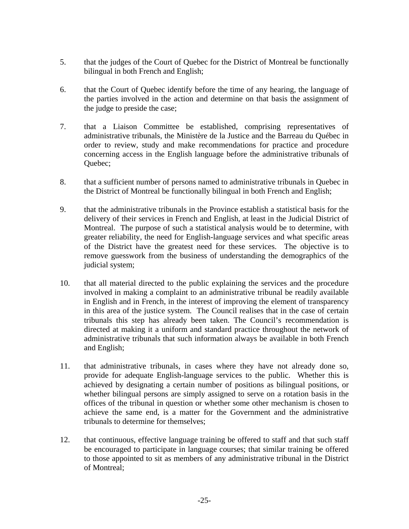- 5. that the judges of the Court of Quebec for the District of Montreal be functionally bilingual in both French and English;
- 6. that the Court of Quebec identify before the time of any hearing, the language of the parties involved in the action and determine on that basis the assignment of the judge to preside the case;
- 7. that a Liaison Committee be established, comprising representatives of administrative tribunals, the Ministère de la Justice and the Barreau du Québec in order to review, study and make recommendations for practice and procedure concerning access in the English language before the administrative tribunals of Quebec;
- 8. that a sufficient number of persons named to administrative tribunals in Quebec in the District of Montreal be functionally bilingual in both French and English;
- 9. that the administrative tribunals in the Province establish a statistical basis for the delivery of their services in French and English, at least in the Judicial District of Montreal. The purpose of such a statistical analysis would be to determine, with greater reliability, the need for English-language services and what specific areas of the District have the greatest need for these services. The objective is to remove guesswork from the business of understanding the demographics of the judicial system;
- 10. that all material directed to the public explaining the services and the procedure involved in making a complaint to an administrative tribunal be readily available in English and in French, in the interest of improving the element of transparency in this area of the justice system. The Council realises that in the case of certain tribunals this step has already been taken. The Council's recommendation is directed at making it a uniform and standard practice throughout the network of administrative tribunals that such information always be available in both French and English;
- 11. that administrative tribunals, in cases where they have not already done so, provide for adequate English-language services to the public. Whether this is achieved by designating a certain number of positions as bilingual positions, or whether bilingual persons are simply assigned to serve on a rotation basis in the offices of the tribunal in question or whether some other mechanism is chosen to achieve the same end, is a matter for the Government and the administrative tribunals to determine for themselves;
- 12. that continuous, effective language training be offered to staff and that such staff be encouraged to participate in language courses; that similar training be offered to those appointed to sit as members of any administrative tribunal in the District of Montreal;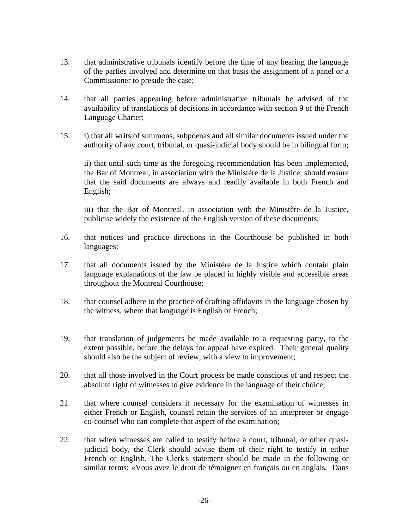- 13. that administrative tribunals identify before the time of any hearing the language of the parties involved and determine on that basis the assignment of a panel or a Commissioner to preside the case;
- 14. that all parties appearing before administrative tribunals be advised of the availability of translations of decisions in accordance with section 9 of the French Language Charter;
- 15. i) that all writs of summons, subpoenas and all similar documents issued under the authority of any court, tribunal, or quasi-judicial body should be in bilingual form;

 ii) that until such time as the foregoing recommendation has been implemented, the Bar of Montreal, in association with the Ministère de la Justice, should ensure that the said documents are always and readily available in both French and English;

 iii) that the Bar of Montreal, in association with the Ministère de la Justice, publicise widely the existence of the English version of these documents;

- 16. that notices and practice directions in the Courthouse be published in both languages;
- 17. that all documents issued by the Ministère de la Justice which contain plain language explanations of the law be placed in highly visible and accessible areas throughout the Montreal Courthouse;
- 18. that counsel adhere to the practice of drafting affidavits in the language chosen by the witness, where that language is English or French;
- 19. that translation of judgements be made available to a requesting party, to the extent possible, before the delays for appeal have expired. Their general quality should also be the subject of review, with a view to improvement;
- 20. that all those involved in the Court process be made conscious of and respect the absolute right of witnesses to give evidence in the language of their choice;
- 21. that where counsel considers it necessary for the examination of witnesses in either French or English, counsel retain the services of an interpreter or engage co-counsel who can complete that aspect of the examination;
- 22. that when witnesses are called to testify before a court, tribunal, or other quasijudicial body, the Clerk should advise them of their right to testify in either French or English. The Clerk's statement should be made in the following or similar terms: «Vous avez le droit de témoigner en français ou en anglais. Dans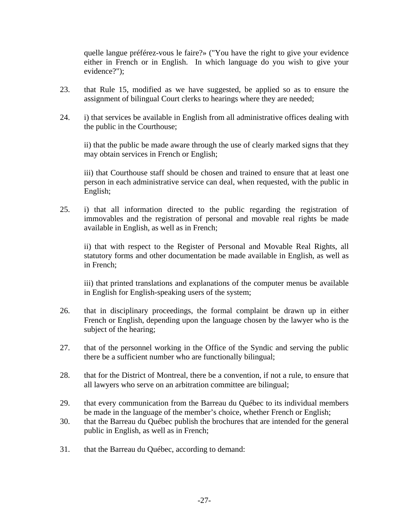quelle langue préférez-vous le faire?» ("You have the right to give your evidence either in French or in English. In which language do you wish to give your evidence?");

- 23. that Rule 15, modified as we have suggested, be applied so as to ensure the assignment of bilingual Court clerks to hearings where they are needed;
- 24. i) that services be available in English from all administrative offices dealing with the public in the Courthouse;

 ii) that the public be made aware through the use of clearly marked signs that they may obtain services in French or English;

 iii) that Courthouse staff should be chosen and trained to ensure that at least one person in each administrative service can deal, when requested, with the public in English;

25. i) that all information directed to the public regarding the registration of immovables and the registration of personal and movable real rights be made available in English, as well as in French;

 ii) that with respect to the Register of Personal and Movable Real Rights, all statutory forms and other documentation be made available in English, as well as in French;

 iii) that printed translations and explanations of the computer menus be available in English for English-speaking users of the system;

- 26. that in disciplinary proceedings, the formal complaint be drawn up in either French or English, depending upon the language chosen by the lawyer who is the subject of the hearing;
- 27. that of the personnel working in the Office of the Syndic and serving the public there be a sufficient number who are functionally bilingual;
- 28. that for the District of Montreal, there be a convention, if not a rule, to ensure that all lawyers who serve on an arbitration committee are bilingual;
- 29. that every communication from the Barreau du Québec to its individual members be made in the language of the member's choice, whether French or English;
- 30. that the Barreau du Québec publish the brochures that are intended for the general public in English, as well as in French;
- 31. that the Barreau du Québec, according to demand: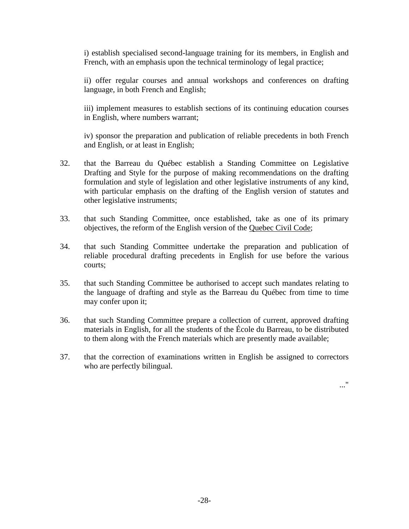i) establish specialised second-language training for its members, in English and French, with an emphasis upon the technical terminology of legal practice;

 ii) offer regular courses and annual workshops and conferences on drafting language, in both French and English;

 iii) implement measures to establish sections of its continuing education courses in English, where numbers warrant;

 iv) sponsor the preparation and publication of reliable precedents in both French and English, or at least in English;

- 32. that the Barreau du Québec establish a Standing Committee on Legislative Drafting and Style for the purpose of making recommendations on the drafting formulation and style of legislation and other legislative instruments of any kind, with particular emphasis on the drafting of the English version of statutes and other legislative instruments;
- 33. that such Standing Committee, once established, take as one of its primary objectives, the reform of the English version of the Quebec Civil Code;
- 34. that such Standing Committee undertake the preparation and publication of reliable procedural drafting precedents in English for use before the various courts;
- 35. that such Standing Committee be authorised to accept such mandates relating to the language of drafting and style as the Barreau du Québec from time to time may confer upon it;
- 36. that such Standing Committee prepare a collection of current, approved drafting materials in English, for all the students of the École du Barreau, to be distributed to them along with the French materials which are presently made available;
- 37. that the correction of examinations written in English be assigned to correctors who are perfectly bilingual.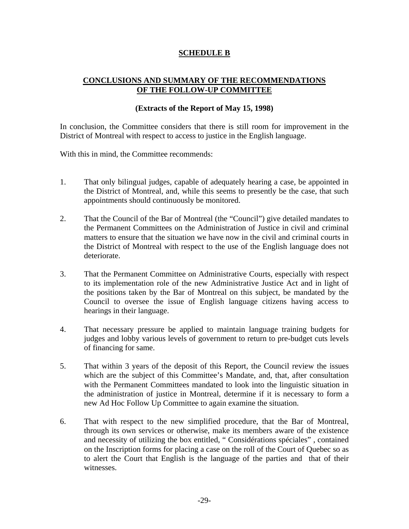#### **SCHEDULE B**

#### **CONCLUSIONS AND SUMMARY OF THE RECOMMENDATIONS OF THE FOLLOW-UP COMMITTEE**

#### **(Extracts of the Report of May 15, 1998)**

In conclusion, the Committee considers that there is still room for improvement in the District of Montreal with respect to access to justice in the English language.

With this in mind, the Committee recommends:

- 1. That only bilingual judges, capable of adequately hearing a case, be appointed in the District of Montreal, and, while this seems to presently be the case, that such appointments should continuously be monitored.
- 2. That the Council of the Bar of Montreal (the "Council") give detailed mandates to the Permanent Committees on the Administration of Justice in civil and criminal matters to ensure that the situation we have now in the civil and criminal courts in the District of Montreal with respect to the use of the English language does not deteriorate.
- 3. That the Permanent Committee on Administrative Courts, especially with respect to its implementation role of the new Administrative Justice Act and in light of the positions taken by the Bar of Montreal on this subject, be mandated by the Council to oversee the issue of English language citizens having access to hearings in their language.
- 4. That necessary pressure be applied to maintain language training budgets for judges and lobby various levels of government to return to pre-budget cuts levels of financing for same.
- 5. That within 3 years of the deposit of this Report, the Council review the issues which are the subject of this Committee's Mandate, and, that, after consultation with the Permanent Committees mandated to look into the linguistic situation in the administration of justice in Montreal, determine if it is necessary to form a new Ad Hoc Follow Up Committee to again examine the situation.
- 6. That with respect to the new simplified procedure, that the Bar of Montreal, through its own services or otherwise, make its members aware of the existence and necessity of utilizing the box entitled, " Considérations spéciales" , contained on the Inscription forms for placing a case on the roll of the Court of Quebec so as to alert the Court that English is the language of the parties and that of their witnesses.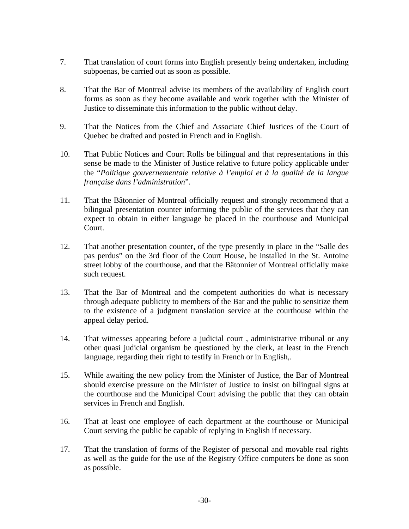- 7. That translation of court forms into English presently being undertaken, including subpoenas, be carried out as soon as possible.
- 8. That the Bar of Montreal advise its members of the availability of English court forms as soon as they become available and work together with the Minister of Justice to disseminate this information to the public without delay.
- 9. That the Notices from the Chief and Associate Chief Justices of the Court of Quebec be drafted and posted in French and in English.
- 10. That Public Notices and Court Rolls be bilingual and that representations in this sense be made to the Minister of Justice relative to future policy applicable under the "*Politique gouvernementale relative à l'emploi et à la qualité de la langue française dans l'administration*".
- 11. That the Bâtonnier of Montreal officially request and strongly recommend that a bilingual presentation counter informing the public of the services that they can expect to obtain in either language be placed in the courthouse and Municipal Court.
- 12. That another presentation counter, of the type presently in place in the "Salle des pas perdus" on the 3rd floor of the Court House, be installed in the St. Antoine street lobby of the courthouse, and that the Bâtonnier of Montreal officially make such request.
- 13. That the Bar of Montreal and the competent authorities do what is necessary through adequate publicity to members of the Bar and the public to sensitize them to the existence of a judgment translation service at the courthouse within the appeal delay period.
- 14. That witnesses appearing before a judicial court , administrative tribunal or any other quasi judicial organism be questioned by the clerk, at least in the French language, regarding their right to testify in French or in English,.
- 15. While awaiting the new policy from the Minister of Justice, the Bar of Montreal should exercise pressure on the Minister of Justice to insist on bilingual signs at the courthouse and the Municipal Court advising the public that they can obtain services in French and English.
- 16. That at least one employee of each department at the courthouse or Municipal Court serving the public be capable of replying in English if necessary.
- 17. That the translation of forms of the Register of personal and movable real rights as well as the guide for the use of the Registry Office computers be done as soon as possible.